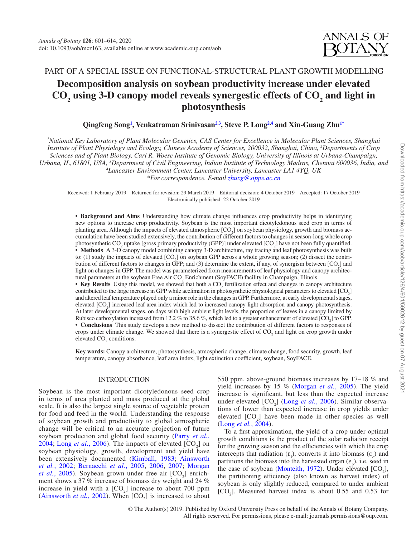# PART OF A SPECIAL ISSUE ON FUNCTIONAL-STRUCTURAL PLANT GROWTH MODELLING

# **Decomposition analysis on soybean productivity increase under elevated CO<sup>2</sup> using 3-D canopy model reveals synergestic effects of CO<sup>2</sup> and light in photosynthesis**

**Qingfeng Song<sup>1</sup> , Venkatraman Srinivasan2,3 , Steve P. Long2,4 and Xin-Guang Zhu1\***

*<sup>1</sup>National Key Laboratory of Plant Molecular Genetics, CAS Center for Excellence in Molecular Plant Sciences, Shanghai Institute of Plant Physiology and Ecology, Chinese Academy of Sciences, 200032, Shanghai, China, <sup>2</sup>Departments of Crop Sciences and of Plant Biology, Carl R. Woese Institute of Genomic Biology, University of Illinois at Urbana-Champaign, Urbana, IL, 61801, USA, <sup>3</sup>Department of Civil Engineering, Indian Institute of Technology Madras, Chennai 600036, India, and <sup>4</sup>Lancaster Environment Center, Lancaster University, Lancaster LA1 4YQ, UK*

*\*For correspondence. E-mail zhuxg@sippe.ac.cn*

Received: 1 February 2019 Returned for revision: 29 March 2019 Editorial decision: 4 October 2019 Accepted: 17 October 2019 Electronically published: 22 October 2019

**• Background and Aims** Understanding how climate change influences crop productivity helps in identifying new options to increase crop productivity. Soybean is the most important dicotyledonous seed crop in terms of planting area. Although the impacts of elevated atmospheric [CO<sub>2</sub>] on soybean physiology, growth and biomass accumulation have been studied extensively, the contribution of different factors to changes in season-long whole crop photosynthetic  $CO_2$  uptake [gross primary productivity (GPP)] under elevated [ $CO_2$ ] have not been fully quantified. **• Methods** A 3-D canopy model combining canopy 3-D architecture, ray tracing and leaf photosynthesis was built to: (1) study the impacts of elevated  $[CO_2]$  on soybean GPP across a whole growing season; (2) dissect the contribution of different factors to changes in GPP; and (3) determine the extent, if any, of synergism between  $[CO_2]$  and light on changes in GPP. The model was parameterized from measurements of leaf physiology and canopy architectural parameters at the soybean Free Air  $CO_2$  Enrichment (SoyFACE) facility in Champaign, Illinois.

• Key Results Using this model, we showed that both a CO<sub>2</sub> fertilization effect and changes in canopy architecture contributed to the large increase in GPP while acclimation in photosynthetic physiological parameters to elevated  $[CO_2]$ and altered leaf temperature played only a minor role in the changes in GPP. Furthermore, at early developmental stages, elevated [CO<sub>2</sub>] increased leaf area index which led to increased canopy light absorption and canopy photosynthesis. At later developmental stages, on days with high ambient light levels, the proportion of leaves in a canopy limited by Rubisco carboxylation increased from 12.2 % to 35.6 %, which led to a greater enhancement of elevated  $[CO_2]$  to GPP. **• Conclusions** This study develops a new method to dissect the contribution of different factors to responses of crops under climate change. We showed that there is a synergestic effect of  $CO<sub>2</sub>$  and light on crop growth under elevated  $CO<sub>2</sub>$  conditions.

**Key words:** Canopy architecture, photosynthesis, atmospheric change, climate change, food security, growth, leaf temperature, canopy absorbance, leaf area index, light extinction coefficient, soybean, SoyFACE.

## INTRODUCTION

Soybean is the most important dicotyledonous seed crop in terms of area planted and mass produced at the global scale. It is also the largest single source of vegetable protein for food and feed in the world. Understanding the response of soybean growth and productivity to global atmospheric change will be critical to an accurate projection of future soybean production and global food security (Parry *et al.*, 2004; Long *et al.*, 2006). The impacts of elevated  $[CO_2]$  on soybean physiology, growth, development and yield have been extensively documented (Kimball, 1983; Ainsworth *et al.*, 2002; Bernacchi *et al.*, 2005, 2006, 2007; Morgan *et al.*, 2005). Soybean grown under free air  $[CO_2]$  enrichment shows a 37 % increase of biomass dry weight and 24 % increase in yield with a  $[CO<sub>2</sub>]$  increase to about 700 ppm (Ainsworth *et al.*, 2002). When  $[CO_2]$  is increased to about

550 ppm, above-ground biomass increases by 17–18 % and yield increases by 15 % (Morgan *et al.*, 2005). The yield increase is significant, but less than the expected increase under elevated  $[CO_2]$  (Long *et al.*, 2006). Similar observations of lower than expected increase in crop yields under elevated  $[CO_2]$  have been made in other species as well (Long *et al.*, 2004).

To a first approximation, the yield of a crop under optimal growth conditions is the product of the solar radiation receipt for the growing season and the efficiencies with which the crop intercepts that radiation  $(\varepsilon)$ , converts it into biomass  $(\varepsilon)$  and partitions the biomass into the harvested organ  $(\varepsilon_p)$ , i.e. seed in the case of soybean (Monteith, 1972). Under elevated  $[CO<sub>2</sub>]$ , the partitioning efficiency (also known as harvest index) of soybean is only slightly reduced, compared to under ambient  $[CO<sub>2</sub>]$ . Measured harvest index is about 0.55 and 0.53 for

© The Author(s) 2019. Published by Oxford University Press on behalf of the Annals of Botany Company. All rights reserved. For permissions, please e-mail: journals.permissions@oup.com.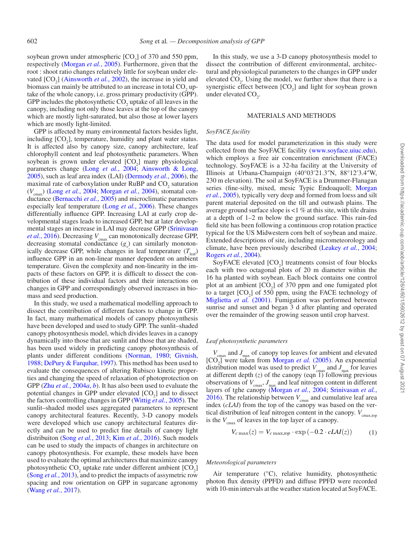In this study, we use a 3-D canopy photosynthesis model to dissect the contribution of different environmental, architectural and physiological parameters to the changes in GPP under elevated  $CO<sub>2</sub>$ . Using the model, we further show that there is a synergistic effect between  $[CO_2]$  and light for soybean grown under elevated  $CO<sub>2</sub>$ .

#### MATERIALS AND METHODS

#### *SoyFACE facility*

The data used for model parameterization in this study were collected from the SoyFACE facility (www.soyface.uiuc.edu), which employs a free air concentration enrichment (FACE) technology. SoyFACE is a 32-ha facility at the University of Illinois at Urbana-Champaign (40°03′21.3″N, 88°12′3.4″W, 230 m elevation). The soil at SoyFACE is a Drummer-Flanagan series (fine-silty, mixed, mesic Typic Endoaquoll; Morgan *et al.*, 2005), typically very deep and formed from loess and silt parent material deposited on the till and outwash plains. The average ground surface slope is <1 % at this site, with tile drains at a depth of 1–2 m below the ground surface. This rain-fed field site has been following a continuous crop rotation practice typical for the US Midwestern corn belt of soybean and maize. Extended descriptions of site, including micrometeorology and climate, have been previously described (Leakey *et al.*, 2004; Rogers *et al.*, 2004).

SoyFACE elevated  $[CO<sub>2</sub>]$  treatments consist of four blocks each with two octagonal plots of 20 m diameter within the 16 ha planted with soybean. Each block contains one control plot at an ambient  $[CO_2]$  of 370 ppm and one fumigated plot to a target  $[CO<sub>2</sub>]$  of 550 ppm, using the FACE technology of Miglietta *et al.* (2001). Fumigation was performed between sunrise and sunset and began 3 d after planting and operated over the remainder of the growing season until crop harvest.

#### *Leaf photosynthetic parameters*

 $V_{\text{cmax}}$  and  $J_{\text{max}}$  of canopy top leaves for ambient and elevated [CO<sub>2</sub>] were taken from Morgan *et al.* (2005). An exponential distribution model was used to predict  $V_{\text{cmax}}$  and  $J_{\text{max}}$  for leaves at different depth (*z*) of the canopy (eqn 1) following previous observations of  $V_{\text{cmax}}$ ,  $J_{\text{max}}$  and leaf nitrogen content in different layers of tghe canopy (Morgan *et al.*, 2004; Srinivasan *et al.*, 2016). The relationship between  $V_{\text{cmax}}$  and cumulative leaf area index (*cLAI*) from the top of the canopy was based on the vertical distribution of leaf nitrogen content in the canopy.  $V_{\text{cmax,top}}$ is the  $V_{\text{cmax}}$  of leaves in the top layer of a canopy.

$$
V_{c\max}(z) = V_{c\max,top} \cdot \exp(-0.2 \cdot cLAI(z)) \tag{1}
$$

#### *Meteorological parameters*

Air temperature (°C), relative humidity, photosynthetic photon flux density (PPFD) and diffuse PPFD were recorded with 10-min intervals at the weather station located at SoyFACE.

soybean grown under atmospheric  $[CO_2]$  of 370 and 550 ppm, respectively (Morgan *et al.*, 2005). Furthermore, given that the root : shoot ratio changes relatively little for soybean under elevated  $[CO_2]$  (Ainsworth *et al.*, 2002), the increase in yield and biomass can mainly be attributed to an increase in total  $CO_2$  uptake of the whole canopy, i.e. gross primary productivity (GPP). GPP includes the photosynthetic  $CO_2$  uptake of all leaves in the canopy, including not only those leaves at the top of the canopy which are mostly light-saturated, but also those at lower layers which are mostly light-limited. GPP is affected by many environmental factors besides light, including  $[CO_2]$ , temperature, humidity and plant water status. It is affected also by canopy size, canopy architecture, leaf

chlorophyll content and leaf photosynthetic parameters. When soybean is grown under elevated  $[CO<sub>2</sub>]$  many physiological parameters change (Long *et al.*, 2004; Ainsworth & Long, 2005), such as leaf area index (LAI) (Dermody *et al.*, 2006), the maximal rate of carboxylation under  $RuBP$  and  $CO<sub>2</sub>$  saturation ( $V_{\text{cmax}}$ ) (Long *et al.*, 2004; Morgan *et al.*, 2004), stomatal conductance (Bernacchi *et al.*, 2005) and microclimatic parameters especially leaf temperature (Long *et al.*, 2006). These changes differentially influence GPP. Increasing LAI at early crop developmental stages leads to increased GPP, but at later developmental stages an increase in LAI may decrease GPP (Srinivasan *et al.*, 2016). Decreasing  $V_{\text{cmax}}$  can monotonically decrease GPP, decreasing stomatal conductance  $(g_s)$  can similarly monotonically decrease GPP, while changes in leaf temperature  $(T_{\text{bot}})$ influence GPP in an non-linear manner dependent on ambient temperature. Given the complexity and non-linearity in the impacts of these factors on GPP, it is difficult to dissect the contribution of these individual factors and their interactions on changes in GPP and correspondingly observed increases in biomass and seed production.

In this study, we used a mathematical modelling approach to dissect the contribution of different factors to change in GPP. In fact, many mathematical models of canopy photosynthesis have been developed and used to study GPP. The sunlit–shaded canopy photosynthesis model, which divides leaves in a canopy dynamically into those that are sunlit and those that are shaded, has been used widely in predicting canopy photosynthesis of plants under different conditions (Norman, 1980; Givnish, 1988; DePury & Farquhar, 1997). This method has been used to evaluate the consequences of altering Rubisco kinetic properties and changing the speed of relaxation of photoprotection on GPP (Zhu *et al.*, 2004*a*, *b*). It has also been used to evaluate the potential changes in GPP under elevated  $[CO<sub>2</sub>]$  and to dissect the factors controlling changes in GPP (Wittig *et al.*, 2005). The sunlit–shaded model uses aggregated parameters to represent canopy architectural features. Recently, 3-D canopy models were developed which use canopy architectural features directly and can be used to predict fine details of canopy light distribuiton (Song *et al.*, 2013; Kim *et al.*, 2016). Such models can be used to study the impacts of changes in architecture on canopy photosynthesis. For example, these models have been used to evaluate the optimal architectures that maximize canopy photosynthetic  $CO_2$  uptake rate under different ambient  $[CO_2]$ (Song *et al.*, 2013), and to predict the impacts of assymetric row spacing and row orientation on GPP in sugarcane agronomy (Wang *et al.*, 2017).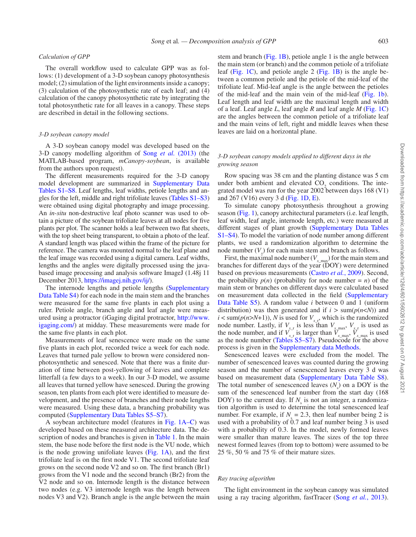#### *Calculation of GPP*

The overall workflow used to calculate GPP was as follows: (1) development of a 3-D soybean canopy photosynthesis model; (2) simulation of the light environments inside a canopy; (3) calculation of the photosynthetic rate of each leaf; and (4) calculation of the canopy photosynthetic rate by integrating the total photosynthetic rate for all leaves in a canopy. These steps are described in detail in the following sections.

#### *3-D soybean canopy model*

A 3-D soybean canopy model was developed based on the 3-D canopy modelling algorithm of Song *et al.* (2013) (the MATLAB-based program, *mCanopy-soybean*, is available from the authors upon request).

The different measurements required for the 3-D canopy model development are summarized in Supplementary Data Tables S1–S8. Leaf lengths, leaf widths, petiole lengths and angles for the left, middle and right trifoliate leaves (Tables S1–S3) were obtained using digital photography and image processing. An *in-situ* non-destructive leaf photo scanner was used to obtain a picture of the soybean trifoliate leaves at all nodes for five plants per plot. The scanner holds a leaf between two flat sheets, with the top sheet being transparent, to obtain a photo of the leaf. A standard length was placed within the frame of the picture for reference. The camera was mounted normal to the leaf plane and the leaf image was recorded using a digital camera. Leaf widths, lengths and the angles were digitally processed using the javabased image processing and analysis software ImageJ (1.48j 11 December 2013, https://imagej.nih.gov/ij/).

The internode lengths and petiole lengths (Supplementary Data Table S4) for each node in the main stem and the branches were measured for the same five plants in each plot using a ruler. Petiole angle, branch angle and leaf angle were measured using a protractor (iGaging digital protractor, http://www. igaging.com/) at midday. These measurements were made for the same five plants in each plot.

Measurements of leaf senescence were made on the same five plants in each plot, recorded twice a week for each node. Leaves that turned pale yellow to brown were considered nonphotosynthetic and senesced. Note that there was a finite duration of time between post-yellowing of leaves and complete litterfall (a few days to a week). In our 3-D model, we assume all leaves that turned yellow have senesced. During the growing season, ten plants from each plot were identified to measure development, and the presence of branches and their node lengths were measured. Using these data, a branching probability was computed (Supplementary Data Tables S5–S7).

A soybean architecture model (features in Fig. 1A–C) was developed based on these measured architecture data. The description of nodes and branches is given in Table 1. In the main stem, the base node before the first node is the VU node, which is the node growing unifoliate leaves  $(Fig, 1A)$ , and the first trifoliate leaf is on the first node V1. The second trifoliate leaf grows on the second node V2 and so on. The first branch (Br1) grows from the V1 node and the second branch (Br2) from the V2 node and so on. Internode length is the distance between two nodes (e.g. V3 internode length was the length between nodes V3 and V2). Branch angle is the angle between the main

stem and branch (Fig. 1B), petiole angle 1 is the angle between the main stem (or branch) and the common petiole of a trifoliate leaf (Fig. 1C), and petiole angle 2 (Fig. 1B) is the angle between a common petiole and the petiole of the mid-leaf of the trifoliate leaf. Mid-leaf angle is the angle between the petioles of the mid-leaf and the main vein of the mid-leaf (Fig. 1b). Leaf length and leaf width are the maximal length and width of a leaf. Leaf angle *L*, leaf angle *R* and leaf angle *M* (Fig. 1C) are the angles between the common petiole of a trifoliate leaf and the main veins of left, right and middle leaves when these leaves are laid on a horizontal plane.

## *3-D soybean canopy models applied to different days in the growing season*

Row spacing was 38 cm and the planting distance was 5 cm under both ambient and elevated  $CO<sub>2</sub>$  conditions. The integrated model was run for the year 2002 between days 168 (V1) and 267 (V16) every 3 d (Fig. 1D, E).

To simulate canopy photosynthesis throughout a growing season (Fig. 1), canopy architectural parameters (i.e. leaf length, leaf width, leaf angle, internode length, etc.) were measured at different stages of plant growth (Supplementary Data Tables S1–S4). To model the variation of node number among different plants, we used a randomization algorithm to determine the node number  $(V_x)$  for each main stem and branch as follows.

First, the maximal node number  $(V_{x \text{ max}})$  for the main stem and branches for different days of the year (DOY) were determined based on previous measurements (Castro *et al.*, 2009). Second, the probability  $p(n)$  (probability for node number = *n*) of the main stem or branches on different days were calculated based on measurement data collected in the field (Supplementary Data Table S5). A random value *i* between 0 and 1 (uniform distribution) was then generated and if  $i > \text{sum}(p(n < N))$  and  $i < \text{sum}(p(n > N+1))$ , *N* is used for  $V_{x,r}$ , which is the randomized node number. Lastly, if  $V_{x,r}$  is less than  $V_{x,max}$ ,  $V_{x,r}$  is used as the node number, and if  $V_{x}$  is larger than  $\overline{V}_{x \text{max}}$ ,  $\overline{V}_{x \text{max}}$  is used as the node number (Tables S5–S7). Pseudocode for the above process is given in the Supplementary data Methods.

Senescenced leaves were excluded from the model. The number of senescenced leaves was counted during the growing season and the number of senescenced leaves every 3 d was based on measurement data (Supplementary Data Table S8). The total number of senescenced leaves  $(N_s)$  on a DOY is the sum of the senescenced leaf number from the start day (168 DOY) to the current day. If  $N<sub>s</sub>$  is not an integer, a randomization algorithm is used to determine the total senescenced leaf number. For example, if  $N_s = 2.3$ , then leaf number being 2 is used with a probability of  $0.7$  and leaf number being 3 is used with a probability of 0.3. In the model, newly formed leaves were smaller than mature leaves. The sizes of the top three newest formed leaves (from top to bottom) were assumed to be 25 %, 50 % and 75 % of their mature sizes.

#### *Ray tracing algorithm*

The light environment in the soybean canopy was simulated using a ray tracing algorithm, fastTracer (Song *et al.*, 2013).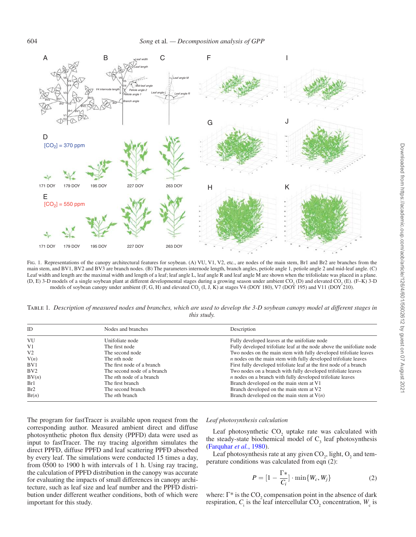

FIG. 1. Representations of the canopy architectural features for soybean. (A) VU, V1, V2, etc., are nodes of the main stem, Br1 and Br2 are branches from the main stem, and BV1, BV2 and BV3 are branch nodes. (B) The parameters internode length, branch angles, petiole angle 1, petiole angle 2 and mid-leaf angle. (C) Leaf width and length are the maximal width and length of a leaf; leaf angle L, leaf angle R and leaf angle M are shown when the trifoliolate was placed in a plane. (D, E) 3-D models of a single soybean plant at different developmental stages during a growing season under ambient  $CO_2$  (D) and elevated  $CO_2$  (E). (F–K) 3-D models of soybean canopy under ambient  $(F, G, H)$  and elevated  $CO_2$  (I, J, K) at stages V4 (DOY 180), V7 (DOY 195) and V11 (DOY 210).

Table 1*. Description of measured nodes and branches, which are used to develop the 3-D soybean canopy model at different stages in this study.*

| Nodes and branches<br><b>ID</b> |                                  | Description                                                           |  |
|---------------------------------|----------------------------------|-----------------------------------------------------------------------|--|
| VU                              | Unifoliate node                  | Fully developed leaves at the unifoliate node                         |  |
| V <sub>1</sub>                  | The first node                   | Fully developed trifoliate leaf at the node above the unifoliate node |  |
| V <sub>2</sub>                  | The second node                  | Two nodes on the main stem with fully developed trifoliate leaves     |  |
| V(n)                            | The <i>n</i> th node             | $n$ nodes on the main stem with fully developed trifoliate leaves     |  |
| BV1                             | The first node of a branch       | First fully developed trifoliate leaf at the first node of a branch   |  |
| BV2                             | The second node of a branch      | Two nodes on a branch with fully developed trifoliate leaves          |  |
| BV(n)                           | The <i>n</i> th node of a branch | <i>n</i> nodes on a branch with fully developed trifoliate leaves     |  |
| Br1                             | The first branch                 | Branch developed on the main stem at V1                               |  |
| Br2                             | The second branch                | Branch developed on the main stem at V2                               |  |
| Br(n)                           | The <i>n</i> th branch           | Branch developed on the main stem at $V(n)$                           |  |

The program for fastTracer is available upon request from the corresponding author. Measured ambient direct and diffuse photosynthetic photon flux density (PPFD) data were used as input to fastTracer. The ray tracing algorithm simulates the direct PPFD, diffuse PPFD and leaf scattering PPFD absorbed by every leaf. The simulations were conducted 15 times a day, from 0500 to 1900 h with intervals of 1 h. Using ray tracing, the calculation of PPFD distribution in the canopy was accurate for evaluating the impacts of small differences in canopy architecture, such as leaf size and leaf number and the PPFD distribution under different weather conditions, both of which were important for this study.

#### *Leaf photosynthesis calculation*

Leaf photosynthetic  $CO_2$  uptake rate was calculated with the steady-state biochemical model of  $C_3$  leaf photosynthesis (Farquhar *et al.*, 1980).

Leaf photosynthesis rate at any given  $CO_2$ , light,  $O_2$  and temperature conditions was calculated from eqn (2):

$$
P = \left[1 - \frac{\Gamma^*}{C_i}\right] \cdot \min\{W_c, W_j\} \tag{2}
$$

where:  $\Gamma^*$  is the CO<sub>2</sub> compensation point in the absence of dark respiration,  $C_i$  is the leaf intercellular  $CO_2$  concentration,  $W_c$  is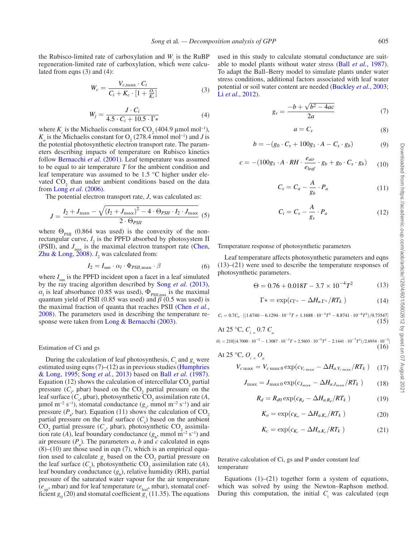the Rubisco-limited rate of carboxylation and  $W_j$  is the RuBP regeneration-limited rate of carboxylation, which were calculated from eqns (3) and (4):

$$
W_c = \frac{V_{c,\text{max}} \cdot C_i}{C_i + K_c \cdot [1 + \frac{Q_i}{K_o}]} \tag{3}
$$

$$
W_j = \frac{J \cdot C_i}{4.5 \cdot C_i + 10.5 \cdot \Gamma*}
$$
 (4)

where  $K_c$  is the Michaelis constant for  $CO_2$  (404.9 µmol mol<sup>-1</sup>),  $K_0$  is the Michaelis constant for O<sub>2</sub> (278.4 mmol mol<sup>-1</sup>) and *J* is the potential photosynthetic electron transport rate. The parameters describing impacts of temperature on Rubisco kinetics follow Bernacchi et al. (2001). Leaf temperature was assumed to be equal to air temperature *T* for the ambient condition and leaf temperature was assumed to be 1.5 °C higher under elevated  $CO_2$  than under ambient conditions based on the data from Long *et al*. (2006).

The potential electron transport rate, *J*, was calculated as:

$$
J = \frac{I_2 + J_{\text{max}} - \sqrt{\left(I_2 + J_{\text{max}}\right)^2 - 4 \cdot \Theta_{PSII} \cdot I_2 \cdot J_{\text{max}}}}{2 \cdot \Theta_{PSII}}
$$
(5)

where  $\Theta_{PSII}$  (0.864 was used) is the convexity of the nonrectangular curve,  $I_2$  is the PPFD absorbed by photosystem II (PSII), and  $J_{\text{max}}$  is the maximal electron transport rate (Chen, Zhu & Long,  $2008$ ).  $I_2$  was calculated from:

$$
I_2 = I_{sun} \cdot \alpha_l \cdot \Phi_{PSII, \max} \cdot \beta \tag{6}
$$

where  $I_{\text{sun}}$  is the PPFD incident upon a facet in a leaf simulated by the ray tracing algorithm described by Song *et al.* (2013),  $\alpha_1$  is leaf absorbance (0.85 was used),  $\Phi_{PSI, max}$  is the maximal quantum yield of PSII (0.85 was used) and *β* (0.5 was used) is the maximal fraction of quanta that reaches PSII (Chen *et al.*, 2008). The parameters used in describing the temperature response were taken from Long & Bernacchi (2003).

Estimation of Ci and gs

During the calculation of leaf photosynthesis,  $C_i$  and  $g_s$  were estimated using eqns  $(7)$ – $(12)$  as in previous studies (Humphries & Long, 1995; Song *et al.*, 2013) based on Ball *et al.* (1987). Equation (12) shows the calculation of intercellular  $CO<sub>2</sub>$  partial pressure  $(C_i, \text{ptar})$  based on the  $CO_2$  partial pressure on the leaf surface  $(C_s, \text{ptar})$ , photosynthetic  $CO_2$  assimilation rate (*A*,  $\mu$ mol m<sup>-2</sup> s<sup>-1</sup>), stomatal conductance ( $g_s$ , mmol m<sup>-2</sup> s<sup>-1</sup>) and air pressure ( $P_a$ , bar). Equation (11) shows the calculation of  $CO_2$ partial pressure on the leaf surface  $(C_s)$  based on the ambient  $CO_2$  partial pressure ( $C_a$ , µbar), photosynthetic  $CO_2$  assimilation rate (*A*), leaf boundary conductance ( $g_b$ , mmol m<sup>-2</sup> s<sup>-1</sup>) and air pressure  $(P_a)$ . The parameters *a*, *b* and *c* calculated in eqns  $(8)$ – $(10)$  are those used in eqn  $(7)$ , which is an empirical equation used to calculate  $g_s$  based on the  $CO_2$  partial pressure on the leaf surface  $(C_s)$ , photosynthetic  $CO_2$  assimilation rate (*A*), leaf boundary conductance  $(g_b)$ , relative humidity (RH), partial pressure of the saturated water vapour for the air temperature (*e* air, mbar) and for leaf temperature (*e* leaf, mbar), stomatal coefficient  $g_0(20)$  and stomatal coefficient  $g_1(11.35)$ . The equations used in this study to calculate stomatal conductance are suitable to model plants without water stress (Ball *et al.*, 1987). To adapt the Ball–Berry model to simulate plants under water stress conditions, additional factors associated with leaf water potential or soil water content are needed (Buckley *et al.*, 2003; Li *et al.*, 2012).

$$
g_s = \frac{-b + \sqrt{b^2 - 4ac}}{2a} \tag{7}
$$

$$
a = C_s \tag{8}
$$

$$
b = -(g_0 \cdot C_s + 100g_1 \cdot A - C_s \cdot g_b) \tag{9}
$$

$$
c = -(100g_1 \cdot A \cdot RH \cdot \frac{e_{air}}{e_{leaf}} \cdot g_b + g_0 \cdot C_s \cdot g_b) \tag{10}
$$

$$
C_s = C_a - \frac{A}{g_b} \cdot P_a \tag{11}
$$

$$
C_i = C_s - \frac{A}{g_s} \cdot P_a \tag{12}
$$

Temperature response of photosynthetic parameters

Leaf temperature affects photosynthetic parameters and eqns (13)–(21) were used to describe the temperature responses of photosynthetic parameters.

$$
\Theta = 0.76 + 0.018T - 3.7 \times 10^{-4} T^2 \tag{13}
$$

$$
\Gamma* = \exp(c_{\Gamma^*} - \Delta H_{a,\Gamma^*}/RT_k)
$$
\n(14)

 $C_i = 0.7C_a \cdot [(1.6740 - 6.1294 \cdot 10^{-2}T + 1.1688 \cdot 10^{-3}T^2 - 8.8741 \cdot 10^{-6}T^3)/0.73547]$  $(15)$ 

At 25 °C, 
$$
C_{i} = 0.7 C_{a}
$$

 $O_i = 210[(4.7000 \cdot 10^{-2} - 1.3087 \cdot 10^{-3}T + 2.5603 \cdot 10^{-5}T^2 - 2.1441 \cdot 10^{-7}T^3)/2.6934 \cdot 10^{-2}]$  $(16)$ 

At 25 °C, 
$$
O_i = O_a
$$

$$
V_{c\,\text{max}} = V_{c\,\text{max}\,0} \exp(c_{V_{c\,\text{max}}} - \Delta H_{a,V_{c\,\text{max}}}/RT_k) \quad (17)
$$

$$
J_{\text{max}} = J_{\text{max }0} \exp(c_{J_{\text{max}}} - \Delta H_{a,J_{\text{max}}}/RT_k)
$$
 (18)

$$
R_d = R_{d0} \exp(c_{R_d} - \Delta H_{aR_d}/RT_k)
$$
 (19)

$$
K_o = \exp(c_{K_o} - \Delta H_{a,K_o}/RT_k)
$$
 (20)

$$
K_c = \exp(c_{K_c} - \Delta H_{a.K_c}/RT_k)
$$
 (21)

Iterative calculation of Ci, gs and P under constant leaf temperature

Equations  $(1)$ – $(21)$  together form a system of equations, which was solved by using the Newton–Raphson method. During this computation, the initial  $C_i$  was calculated (eqn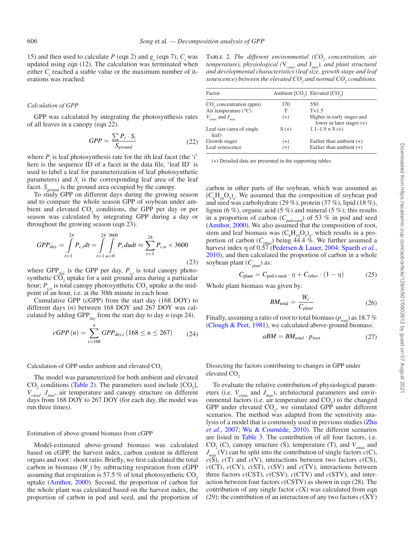15) and then used to calculate *P* (eqn 2) and  $g_s$  (eqn 7);  $C_i$  was updated using eqn (12). The calculation was terminated when either  $C_i$  reached a stable value or the maximum number of iterations was reached.

#### *Calculation of GPP*

GPP was calculated by integrating the photosynthesis rates of all leaves in a canopy (eqn 22).

$$
GPP = \frac{\sum P_i \cdot S_i}{S_{ground}} \tag{22}
$$

where  $P_i$  is leaf photosynthesis rate for the *i*th leaf facet (the '*i*' here is the sequence ID of a facet in the data file, 'leaf ID' is used to label a leaf for parameterization of leaf photosynthetic parameters) and  $S<sub>i</sub>$  is the corresponding leaf area of the leaf facet.  $S_{\text{ground}}$  is the ground area occupied by the canopy.

To study GPP on different days during the growing season and to compare the whole season GPP of soybean under ambient and elevated  $CO_2$  conditions, the GPP per day or per season was calculated by integrating GPP during a day or throughout the growing season (eqn 23).

$$
GPP_{day} = \int_{t=1}^{24} P_{c,t} dt = \int_{t=1}^{24} \int_{u=0}^{3600} P_c du dt \approx \sum_{t=1}^{24} P_{c,u} \times 3600
$$
\n(23)

where GPP day is the GPP per day,  $P_{c,t}$  is total canopy photosynthetic  $CO<sub>2</sub>$  uptake for a unit ground area during a particular hour;  $P_{c,u}$  is total canopy photosynthetic CO<sub>2</sub> uptake at the midpoint of an hour, i.e. at the 30th minute in each hour.

Cumulative GPP (cGPP) from the start day (168 DOY) to different days (*n*) between 168 DOY and 267 DOY was calculated by adding GPP $_{\text{day}}$  from the start day to day *n* (eqn 24).

$$
cGPP(n) = \sum_{i=168}^{n} GPP_{day,i} (168 \le n \le 267) \tag{24}
$$

Calculation of GPP under ambient and elevated  $CO<sub>2</sub>$ 

The model was parameterized for both ambient and elevated  $CO<sub>2</sub>$  conditions (Table 2). The parameters used include  $[CO<sub>2</sub>]$ , *V*cmax *, J*max , air temperature and canopy structure on different days from 168 DOY to 267 DOY (for each day, the model was run three times).

#### Estimation of above-ground biomass from cGPP

Model-estimated above-ground biomass was calculated based on cGPP, the harvest index, carbon content in different organs and root : shoot ratio. Briefly, we first calculated the total carbon in biomass  $(W_c)$  by subtracting respiration from cGPP assuming that respiration is 57.5  $\%$  of total photosynthetic CO<sub>2</sub> uptake (Amthor, 2000). Second, the proportion of carbon for the whole plant was calculated based on the harvest index, the proportion of carbon in pod and seed, and the proportion of

Table 2*. The different environmental (CO<sup>2</sup> concentration, air temperature), physiological (*V*cmax and* J *max ), and plant structural and developmental characteristics (leaf size, growth stage and leaf senescence) between the elevated CO<sup>2</sup> and normal CO<sup>2</sup> conditions.*

| Factor                                 |                                    | Ambient [CO <sub>2</sub> ] Elevated [CO <sub>2</sub> ]    |
|----------------------------------------|------------------------------------|-----------------------------------------------------------|
| CO <sub>2</sub> concentration (ppm)    | 370                                | 550                                                       |
| Air temperature $(^{\circ}C)$          | т                                  | $T+1.5$                                                   |
| $V_{\text{cmax}}$ and $J_{\text{max}}$ | $(+)$                              | Higher in early stages and<br>lower in later stages $(+)$ |
| Leaf size (area of single<br>leaf)     | $1.1 - 1.9 \times S (+)$<br>$S(+)$ |                                                           |
| Growth stages                          | $(+)$                              | Earlier than ambient $(+)$                                |
| Leaf senescence                        | $(+)$                              | Earlier than ambient $(+)$                                |

(+) Detailed data are presented in the supporting tables.

carbon in other parts of the soybean, which was assumed as  $(C_6H_{10}O_5)_n$ . We assumed that the composition of soybean pod and seed was carbohydrate (29 %), protein (37 %), lipid (18 %), lignin (6 %), organic acid (5 %) and mineral (5 %); this results in a proportion of carbon ( $C_{\text{pod+seed}}$ ) of 53 % in pod and seed (Amthor, 2000). We also assumed that the composition of root, stem and leaf biomass was  $(C_6H_{10}O_5)_n$ , which results in a proportion of carbon  $(C_{other})$  being 44.4 %. We further assumed a harvest index η of 0.57 (Pedersen & Lauer, 2004; Spaeth *et al.*, 2010), and then calculated the proportion of carbon in a whole soybean plant ( $C_{\text{plant}}$ ) as:

$$
C_{\text{plant}} = C_{\text{pod} + \text{seed}} \cdot \eta + C_{\text{other}} \cdot (1 - \eta) \tag{25}
$$

Whole plant biomass was given by:

$$
BM_{\text{total}} = \frac{W_c}{C_{\text{plant}}} \tag{26}
$$

Finally, assuming a ratio of root to total biomass ( $p_{\text{root}}$ ) as 18.7 % (Clough & Peet, 1981), we calculated above-ground biomass:

$$
aBM = BM_{total} \cdot p_{root} \tag{27}
$$

Dissecting the factors contributing to changes in GPP under elevated CO<sub>2</sub>

To evaluate the relative contribution of physiological parameters (i.e.  $V_{\text{cmax}}$  and  $J_{\text{max}}$ ), architectural parameters and environmental factors (i.e. air temperature and  $CO<sub>2</sub>$ ) to the changed GPP under elevated  $CO<sub>2</sub>$ , we simulated GPP under different scenarios. The method was adapted from the sensitivity analysis of a model that is commonly used in previous studies (Zhu *et al.*, 2007; Wu & Cournède, 2010). The different scenarios are listed in Table 3. The contribution of all four factors, i.e.  $CO<sub>2</sub>$  (C), canopy structure (S), temperature (T), and  $V<sub>cmax</sub>$  and  $J_{\text{max}}$  (V) can be split into the contribution of single factors *c*(C),  $c(S)$ ,  $c(T)$  and  $c(V)$ , interactions between two factors  $c(CS)$ ,  $c$ (CT),  $c$ (CV),  $c$ (ST),  $c$ (SV) and  $c$ (TV), interactions between three factors *c*(CST), *c*(CSV), *c*(CTV) and *c*(STV), and interaction between four factors *c*(CSTV) as shown in eqn (28). The contribution of any single factor  $c(X)$  was calculated from eqn (29); the contribution of an interaction of any two factors *c*(XY)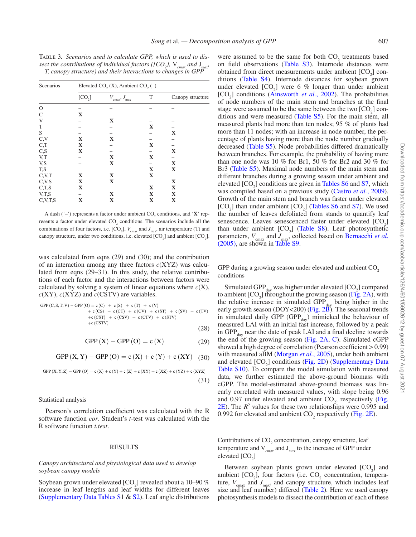Table 3*. Scenarios used to calculate GPP, which is used to dissect the contributions of individual factors ([CO<sub>2</sub>],*  $V_{cmax}$  *and*  $J_{max}$ *, T, canopy structure) and their interactions to changes in GPP*

| Scenarios | Elevated CO <sub>2</sub> (X), Ambient CO <sub>2</sub> (-) |                                      |   |                  |  |
|-----------|-----------------------------------------------------------|--------------------------------------|---|------------------|--|
|           | [CO <sub>2</sub> ]                                        | $V_{\text{cmax}}$ , $J_{\text{max}}$ | T | Canopy structure |  |
| $\circ$   |                                                           |                                      |   |                  |  |
| C         | X                                                         |                                      |   |                  |  |
| V         |                                                           | X                                    |   |                  |  |
| T         |                                                           |                                      | X |                  |  |
| S         |                                                           |                                      |   | X                |  |
| C, V      | X                                                         | X                                    |   |                  |  |
| C,T       | X                                                         |                                      | X |                  |  |
| C, S      | X                                                         |                                      |   | X                |  |
| V,T       |                                                           | X                                    | X |                  |  |
| V,S       |                                                           | X                                    |   | X                |  |
| T,S       |                                                           |                                      | X | X                |  |
| C, V, T   | X                                                         | X                                    | X |                  |  |
| C, V, S   | X                                                         | X                                    |   | X                |  |
| C,T,S     | X                                                         |                                      | X | X                |  |
| V,T,S     |                                                           | X                                    | X | X                |  |
| C.V.T.S   | X                                                         | X                                    | X | X                |  |

A dash  $(-')$  represents a factor under ambient  $CO_2$  conditions, and  $'X'$  represents a factor under elevated  $CO_2$  conditions. The scenarios include all the combinations of four factors, i.e.  $[CO_2]$ ,  $V_{\text{cmax}}$  and  $J_{\text{max}}$ , air temperature (T) and canopy structure, under two conditions, i.e. elevated  $[CO_2]$  and ambient  $[CO_2]$ .

was calculated from eqns (29) and (30); and the contribution of an interaction among any three factors *c*(XYZ) was calculated from eqns (29–31). In this study, the relative contributions of each factor and the interactions between factors were calculated by solving a system of linear equations where  $c(X)$ ,  $c(XY)$ ,  $c(XYZ)$  and  $c(CSTV)$  are variables.

$$
\begin{array}{lcl} \text{GPP (C,S,T,V)} - \text{GPP (O)} = c \, (C) & + \, c \, (S) & + \, c \, (T) & + \, c \, (V) \\ & + \, c \, (CS) & + \, c \, (CT) & + \, c \, (CV) & + \, c \, (SV) & + \, c \, (SV) \\ & + \, c \, (CST) & + \, c \, (CSV) & + \, c \, (CTV) & + \, c \, (STV) \\ & + \, c \, (CSTV) & & & \end{array} \tag{28}
$$

$$
GPP(X) - GPP(O) = c(X)
$$
 (29)

$$
GPP(X,Y) - GPP(O) = c(X) + c(Y) + c(XY) \quad (30)
$$

$$
GPP\left(X,Y,Z\right)-GPP\left(O\right)=c\left(X\right)+c\left(Y\right)+c\left(Z\right)+c\left(XY\right)+c\left(XZ\right)+c\left(YZ\right)+c\left(XYZ\right)\tag{31}
$$

#### Statistical analysis

Pearson's correlation coefficient was calculated with the R software function *cor*. Student's *t*-test was calculated with the R software function *t.test*.

#### RESULTS

#### *Canopy architectural and physiological data used to develop soybean canopy models*

Soybean grown under elevated  $[CO_2]$  revealed about a 10–90 % increase in leaf lengths and leaf widths for different leaves (Supplementary Data Tables S1 & S2). Leaf angle distributions

were assumed to be the same for both  $CO_2$  treatments based on field observations (Table S3). Internode distances were obtained from direct measurements under ambient  $[CO<sub>2</sub>]$  conditions (Table S4). Internode distances for soybean grown under elevated  $[CO<sub>2</sub>]$  were 6 % longer than under ambient [CO<sub>2</sub>] conditions (Ainsworth *et al.*, 2002). The probabilities of node numbers of the main stem and branches at the final stage were assumed to be the same between the two  $[CO<sub>2</sub>]$  conditions and were measured (Table S5). For the main stem, all measured plants had more than ten nodes; 95 % of plants had more than 11 nodes; with an increase in node number, the percentage of plants having more than the node number gradually decreased (Table S5). Node probabilities differed dramatically between branches. For example, the probability of having more than one node was 10 % for Br1, 50 % for Br2 and 30 % for Br3 (Table S5). Maximal node numbers of the main stem and different branches during a growing season under ambient and elevated  $[CO<sub>2</sub>]$  conditions are given in Tables S6 and S7, which was compiled based on a previous study (Castro *et al.*, 2009). Growth of the main stem and branch was faster under elevated  $[CO<sub>2</sub>]$  than under ambient  $[CO<sub>2</sub>]$  (Tables S6 and S7). We used the number of leaves defoliated from stands to quantify leaf senescence. Leaves senescenced faster under elevated  $[CO<sub>2</sub>]$ than under ambient  $[CO<sub>2</sub>]$  (Table S8). Leaf photosynthetic parameters,  $V_{\text{cmax}}$  and  $J_{\text{max}}$ , collected based on Bernacchi *et al.*  $(2005)$ , are shown in Table S9.

GPP during a growing season under elevated and ambient CO<sub>2</sub> conditions

Simulated GPP $_{\text{day}}$  was higher under elevated  $[CO_2]$  compared to ambient  $[CO_2]$  throughout the growing season (Fig. 2A), with the relative increase in simulated  $\text{GPP}_{\text{day}}$  being higher in the early growth season (DOY<200) (Fig.  $2\overline{B}$ ). The seasonal trends in simulated daily GPP (GPP $_{day}$ ) mimicked the behaviour of measured LAI with an initial fast increase, followed by a peak in  $GPP_{day}$  near the date of peak LAI and a final decline towards the end of the growing season (Fig. 2A, C). Simulated cGPP showed a high degree of correlation (Pearson coefficient > 0.99) with measured aBM (Morgan *et al.*, 2005), under both ambient and elevated  $[CO_2]$  conditions (Fig. 2D) (Supplementary Data Table S10). To compare the model simulation with measured data, we further estimated the above-ground biomass with cGPP. The model-estimated above-ground biomass was linearly correlated with measured values, with slope being 0.96 and 0.97 under elevated and ambient  $CO_2$ , respectively (Fig.  $2E$ ). The  $R<sup>2</sup>$  values for these two relationships were 0.995 and 0.992 for elevated and ambient  $CO_2$  respectively (Fig. 2E).

Contributions of  $CO<sub>2</sub>$  concentration, canopy structure, leaf temperature and V*cmax* and J *max* to the increase of GPP under elevated  $[CO<sub>2</sub>]$ 

Between soybean plants grown under elevated  $[CO<sub>2</sub>]$  and ambient  $[CO_2]$ , four factors (i.e.  $CO_2$  concentration, temperature,  $V_{\text{cmax}}$  and  $J_{\text{max}}$ , and canopy structure, which includes leaf size and leaf number) differed (Table 2). Here we used canopy photosynthesis models to dissect the contribution of each of these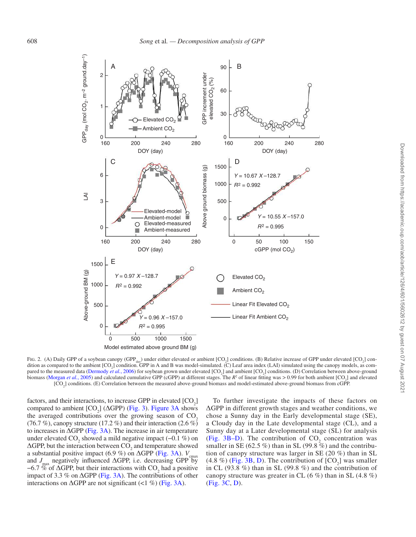

Fig. 2. (A) Daily GPP of a soybean canopy (GPP<sub>day</sub>) under either elevated or ambient [CO<sub>2</sub>] conditions. (B) Relative increase of GPP under elevated [CO<sub>2</sub>] condition as compared to the ambient [CO<sub>2</sub>] condition. GPP in A and B was model-simulated. (C) Leaf area index (LAI) simulated using the canopy models, as compared to the measured data (Dermody *et al.*, 2006) for soybean grown under elevated [CO<sub>2</sub>] and ambient [CO<sub>2</sub>] conditions. (D) Correlation between above-ground biomass (Morgan *et al.*, 2005) and calculated cumulative GPP (cGPP) at different stages. The  $R^2$  of linear fitting was > 0.99 for both ambient [CO<sub>2</sub>] and elevated  $[CO<sub>2</sub>]$  conditions. (E) Correlation between the measured above-ground biomass and model-estimated above-ground biomass from cGPP.

factors, and their interactions, to increase GPP in elevated  $[CO<sub>2</sub>]$ compared to ambient  $[CO_2]$  ( $\triangle GPP$ ) (Fig. 3). Figure 3A shows the averaged contributions over the growing season of  $CO<sub>2</sub>$ (76.7 %), canopy structure (17.2 %) and their interaction (2.6 %) to increases in  $\triangle$ GPP (Fig. 3A). The increase in air temperature under elevated  $CO_2$  showed a mild negative impact (−0.1 %) on  $\Delta$ GPP, but the interaction between CO<sub>2</sub> and temperature showed a substantial positive impact (6.9 %) on  $\triangle$ GPP (Fig. 3A).  $V_{\text{cmax}}$ and  $J_{\text{max}}$  negatively influenced  $\Delta$ GPP, i.e. decreasing GPP by −6.7 % of  $\triangle$ GPP, but their interactions with CO<sub>2</sub> had a positive impact of 3.3 % on  $\triangle$ GPP (Fig. 3A). The contributions of other interactions on  $\triangle$ GPP are not significant (<1 %) (Fig. 3A).

To further investigate the impacts of these factors on ΔGPP in different growth stages and weather conditions, we chose a Sunny day in the Early developmental stage (SE), a Cloudy day in the Late developmental stage (CL), and a Sunny day at a Later developmental stage (SL) for analysis (Fig. 3B–D). The contribution of  $CO_2$  concentration was smaller in SE (62.5 %) than in SL (99.8 %) and the contribution of canopy structure was larger in SE (20 %) than in SL  $(4.8\%)$  (Fig. 3B, D). The contribution of  $[CO<sub>2</sub>]$  was smaller in CL (93.8 %) than in SL (99.8 %) and the contribution of canopy structure was greater in CL  $(6\%)$  than in SL  $(4.8\%)$ (Fig. 3C, D).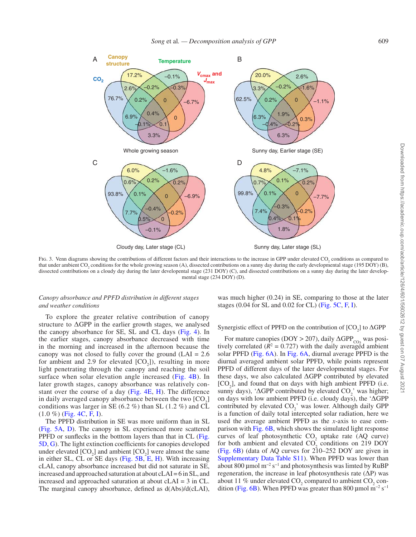

Fig. 3. Venn diagrams showing the contributions of different factors and their interactions to the increase in GPP under elevated  $CO_2$  conditions as compared to that under ambient CO<sub>2</sub> conditions for the whole growing season (A), dissected contributions on a sunny day during the early developmental stage (195 DOY) (B), dissected contributions on a cloudy day during the later developental stage (231 DOY) (C), and dissected contributions on a sunny day during the later developmental stage (234 DOY) (D).

#### *Canopy absorbance and PPFD distribution in different stages and weather conditions*

To explore the greater relative contribution of canopy structure to  $\Delta$ GPP in the earlier growth stages, we analysed the canopy absorbance for SE, SL and CL days (Fig. 4). In the earlier stages, canopy absorbance decreased with time in the morning and increased in the afternoon because the canopy was not closed to fully cover the ground  $(LAI = 2.6$ for ambient and 2.9 for elevated  $[CO_2]$ ), resulting in more light penetrating through the canopy and reaching the soil surface when solar elevation angle increased (Fig. 4B). In later growth stages, canopy absorbance was relatively constant over the course of a day (Fig. 4E, H). The difference in daily averaged canopy absorbance between the two  $[CO<sub>2</sub>]$ conditions was larger in SE (6.2 %) than SL (1.2 %) and  $\overline{\text{CL}}$  $(1.0 \%)$  (Fig. 4C, F, I).

The PPFD distribution in SE was more uniform than in SL (Fig. 5A, D). The canopy in SL experienced more scattered PPFD or sunflecks in the botttom layers than that in CL (Fig. 5D, G). The light extinction coefficients for canopies developed under elevated  $[CO_2]$  and ambient  $[CO_2]$  were almost the same in either SL, CL or SE days (Fig. 5B, E, H). With increasing cLAI, canopy absorbance increased but did not saturate in SE, increased and approached saturation at about cLAI = 6 in SL, and increased and approached saturation at about cLAI = 3 in CL. The marginal canopy absorbance, defined as d(Abs)/d(cLAI),

was much higher (0.24) in SE, comparing to those at the later stages  $(0.04$  for SL and  $0.02$  for CL) (Fig. 5C, F, I).

# Synergistic effect of PPFD on the contribution of  $[CO_2]$  to  $\Delta GPP$

For mature canopies (DOY > 207), daily  $\triangle GPP_{CO_2}$  was posi-<br>also completed  $(P_2^2 - Q_2^2 Z_2^2)$  with the daily suppose  $Z_2^2$  dentitively tively correlated  $(R^2 = 0.727)$  with the daily averaged ambient solar PPFD (Fig. 6A). In Fig. 6A, diurnal average PPFD is the diurnal averaged ambient solar PPFD, while points represent PPFD of different days of the later developmental stages. For these days, we also calculated ΔGPP contributed by elevated  $[CO<sub>2</sub>]$ , and found that on days with high ambient PPFD (i.e. sunny days), ' $\Delta$ GPP contributed by elevated CO<sub>2</sub>' was higher; on days with low ambient PPFD (i.e. cloudy days), the 'ΔGPP contributed by elevated  $CO_2'$  was lower. Although daily GPP is a function of daily total intercepted solar radiation, here we used the average ambient PPFD as the *x*-axis to ease comparison with Fig. 6B, which shows the simulated light response curves of leaf photosynthetic  $CO_2$  uptake rate (AQ curve) for both ambient and elevated  $CO_2$  conditions on 219 DOY (Fig. 6B) (data of AQ curves for 210–252 DOY are given in Supplementary Data Table S11). When PPFD was lower than about 800 µmol m−2 s−1 and photosynthesis was limted by RuBP regeneration, the increase in leaf photosynthesis rate  $(\Delta P)$  was about 11 % under elevated  $CO_2$  compared to ambient  $CO_2$  condition (Fig. 6B). When PPFD was greater than 800 µmol m<sup>-2</sup> s<sup>-1</sup>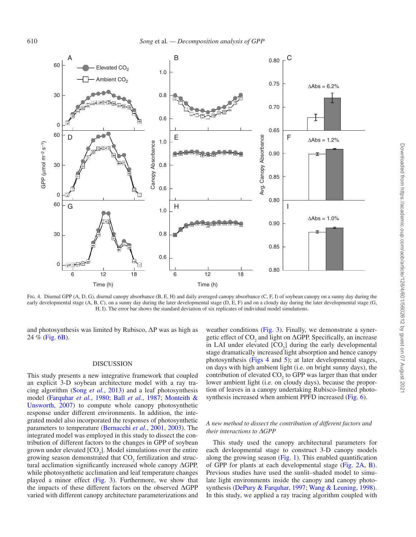

FIG. 4. Diurnal GPP (A, D, G), diurnal canopy absorbance (B, E, H) and daily averaged canopy absorbance (C, F, I) of soybean canopy on a sunny day during the early developmental stage  $(A, B, C)$ , on a sunny day during the later developmental stage  $(D, E, F)$  and on a cloudy day during the later developmental stage  $(G, F)$ H, I). The error bar shows the standard deviation of six replicates of individual model simulations.

and photosynthesis was limited by Rubisco,  $\Delta P$  was as high as 24 % (Fig. 6B).

#### DISCUSSION

This study presents a new integrative framework that coupled an explicit 3-D soybean architecture model with a ray tracing algorithm (Song *et al.*, 2013) and a leaf photosynthesis model (Farquhar *et al.*, 1980; Ball *et al.*, 1987; Monteith & Unsworth, 2007) to compute whole canopy photosynthetic response under different environments. In addition, the integrated model also incorporated the responses of photosynthetic parameters to temperature (Bernacchi *et al.*, 2001, 2003). The integrated model was employed in this study to dissect the contribution of different factors to the changes in GPP of soybean grown under elevated  $[CO_2]$ . Model simulations over the entire growing season demonstrated that  $CO_2$  fertilization and structural acclimation significantly increased whole canopy ΔGPP, while photosynthetic acclimation and leaf temperature changes played a minor effect (Fig. 3). Furthermore, we show that the impacts of these different factors on the observed ΔGPP varied with different canopy architecture parameterizations and

weather conditions (Fig. 3). Finally, we demonstrate a synergetic effect of  $CO_2$  and light on  $\triangle$ GPP. Specifically, an increase in LAI under elevated  $[CO_2]$  during the early developmental stage dramatically increased light absorption and hence canopy photosynthesis (Figs 4 and 5); at later developmental stages, on days with high ambient light (i.e. on bright sunny days), the contribution of elevated  $CO<sub>2</sub>$  to GPP was larger than that under lower ambient light (i.e. on cloudy days), because the proportion of leaves in a canopy undertaking Rubisco-limited photosynthesis increased when ambient PPFD increased (Fig. 6).

#### *A new method to dissect the contribution of different factors and their interactions to ∆GPP*

This study used the canopy architectural parameters for each devleopmental stage to construct 3-D canopy models along the growing season (Fig. 1). This enabled quantification of GPP for plants at each developmental stage (Fig. 2A, B). Previous studies have used the sunlit–shaded model to simulate light environments inside the canopy and canopy photosynthesis (DePury & Farquhar, 1997; Wang & Leuning, 1998). In this study, we applied a ray tracing algorithm coupled with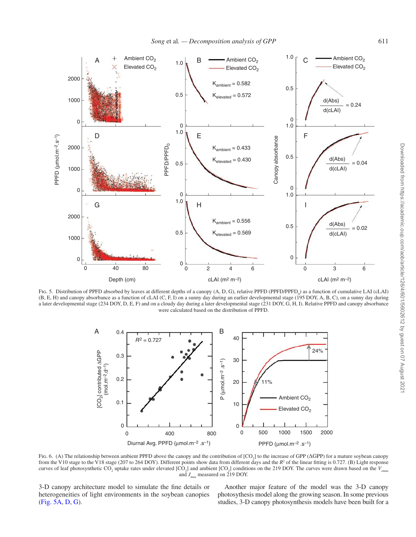

Fig. 5. Distribution of PPFD absorbed by leaves at different depths of a canopy (A, D, G), relative PPFD (PPFD/PPFD<sub>0</sub>) as a function of cumulative LAI (cLAI) (B, E, H) and canopy absorbance as a function of cLAI (C, F, I) on a sunny day during an earlier developmental stage (195 DOY, A, B, C), on a sunny day during a later developmental stage (234 DOY, D, E, F) and on a cloudy day during a later developmental stage (231 DOY, G, H, I). Relative PPFD and canopy absorbance were calculated based on the distribution of PPFD.



Fig. 6. (A) The relationship between ambient PPFD above the canopy and the contribution of  $[CO_2]$  to the increase of GPP ( $\triangle$ GPP) for a mature soybean canopy from the V10 stage to the V18 stage (207 to 264 DOY). Different points show data from different days and the  $R<sup>2</sup>$  of the linear fitting is 0.727. (B) Light response curves of leaf photosynthetic CO<sub>2</sub> uptake rates under elevated [CO<sub>2</sub>] and ambient [CO<sub>2</sub>] conditions on the 219 DOY. The curves were drawn based on the  $V_{\text{cmax}}$ and  $J_{\text{max}}$  measured on 219 DOY.

3-D canopy architecture model to simulate the fine details or heterogeneities of light environments in the soybean canopies (Fig. 5A, D, G).

Another major feature of the model was the 3-D canopy photosythesis model along the growing season. In some previous studies, 3-D canopy photosynthesis models have been built for a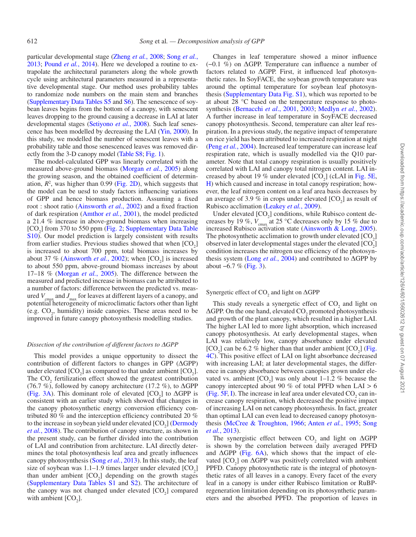particular developmental stage (Zheng *et al.*, 2008; Song *et al.*, 2013; Pound *et al.*, 2014). Here we developed a routine to extrapolate the architectural parameters along the whole growth cycle using architectural parameters measured in a representative developmental stage. Our method uses probability tables to randomize node numbers on the main stem and branches (Supplementary Data Tables S5 and S6). The senescence of soybean leaves begins from the bottom of a canopy, with senescent leaves dropping to the ground causing a decrease in LAI at later developmental stages (Setiyono *et al.*, 2008). Such leaf senescence has been modelled by decreasing the LAI (Yin, 2000). In this study, we modelled the number of senescent leaves with a probability table and those senescenced leaves was removed directly from the 3-D canopy model (Table S8; Fig. 1).

The model-calculated GPP was linearly correlated with the measured above-ground biomass (Morgan *et al.*, 2005) along the growing season, and the obtained coefficient of determination,  $R^2$ , was higher than 0.99 (Fig. 2D), which suggests that the model can be uesd to study factors influencing variations of GPP and hence biomass production. Assuming a fixed root : shoot ratio (Ainsworth *et al.*, 2002) and a fixed fraction of dark respiration (Amthor *et al.*, 2001), the model predicted a 21.4 % increase in above-ground biomass when increasing  $[CO<sub>2</sub>]$  from 370 to 550 ppm (Fig. 2; Supplementary Data Table S10). Our model prediction is largely consistent with results from earlier studies. Previous studies showed that when  $[CO<sub>2</sub>]$ is increased to about 700 ppm, total biomass increases by about 37  $\%$  (Ainsworth *et al.*, 2002); when  $[CO_2]$  is increased to about 550 ppm, above-ground biomass increases by about 17–18 % (Morgan *et al.*, 2005). The difference between the measured and predicted increase in biomass can be attributed to a number of factors: difference between the predicted vs. measured  $V_{\text{cmax}}$  and  $J_{\text{max}}$  for leaves at different layers of a canopy, and potential heterogeneity of microclimatic factors other than light (e.g.  $CO<sub>2</sub>$ , humidity) inside canopies. These areas need to be improved in future canopy photosynthesis modelling studies.

#### *Dissection of the contribution of different factors to ∆GPP*

This model provides a unique opportunity to dissect the contribution of different factors to changes in GPP (ΔGPP) under elevated  $[CO_2]$  as compared to that under ambient  $[CO_2]$ . The  $CO<sub>2</sub>$  fertilization effect showed the greatest contribution (76.7 %), followed by canopy architecture (17.2 %), to  $\Delta GPP$ (Fig. 3A). This dominant role of elevated  $[CO<sub>2</sub>]$  to  $\triangle$ GPP is consistent with an earlier study which showed that changes in the canopy photosynthetic energy conversion efficiency contributed 80 % and the interception efficiency contributed 20 % to the increase in soybean yield under elevated  $[CO<sub>2</sub>]$  (Dermody *et al.*, 2008). The contribution of canopy structure, as shown in the present study, can be further divided into the contribution of LAI and contribution from architecture. LAI directly determines the total photosynthesis leaf area and greatly influences canopy photosynthesis (Song *et al.*, 2013). In this study, the leaf size of soybean was  $1.1-1.9$  times larger under elevated  $[CO_2]$ than under ambient  $[CO_2]$  depending on the growth stages (Supplementary Data Tables S1 and S2). The architecture of the canopy was not changed under elevated  $[CO<sub>2</sub>]$  compared with ambient  $[CO<sub>2</sub>]$ .

Changes in leaf temperature showed a minor influence (−0.1 %) on ΔGPP. Temperature can influence a number of factors related to ΔGPP. First, it influenced leaf photosynthetic rates. In SoyFACE, the soybean growth temperature was around the optimal temperature for soybean leaf photosynthesis (Supplementary Data Fig. S1), which was reported to be at about 28 °C based on the temperature response to photosynthesis (Bernacchi *et al*., 2001, 2003; Medlyn *et al.*, 2002). A further increase in leaf temperature in SoyFACE decreased canopy photosynthesis. Second, temperature can alter leaf respiration. In a previous study, the negative impact of temperature on rice yield has been attributed to increased respiration at night (Peng *et al.*, 2004). Increased leaf temperature can increase leaf respiration rate, which is usually modelled via the Q10 parameter. Note that total canopy respiration is usually positively correlated with LAI and canopy total nitrogen content. LAI increased by about 19 % under elevated  $[CO<sub>2</sub>]$  (cLAI in Fig. 5E, H) which caused and increase in total canopy respiration; however, the leaf nitrogen content on a leaf area basis decreases by an average of 3.9 % in crops under elevated  $[CO_2]$  as result of Rubisco acclimation (Leakey *et al.*, 2009).

Under elevated  $[CO_2]$  conditions, while Rubisco content decreases by 19 %,  $V_{\text{cmax}}$  at 25 °C decreases only by 15 % due to increased Rubisco activation state (Ainsworth & Long, 2005). The photosynthetic acclimation to growth under elevated  $[CO<sub>2</sub>]$ observed in later developmental stages under the elevated  $[CO<sub>2</sub>]$ condition increases the nitrogen use efficiency of the photosynthesis system (Long *et al.*, 2004) and contributed to ΔGPP by about −6.7 % (Fig. 3).

# Synergetic effect of  $\mathrm{CO}_2$  and light on  $\Delta \mathrm{GPP}$

This study reveals a synergetic effect of  $CO_2$  and light on  $\Delta$ GPP. On the one hand, elevated CO<sub>2</sub> promoted photosynthesis and growth of the plant canopy, which resulted in a higher LAI. The higher LAI led to more light absorption, which increased canopy photosynthesis. At early developmental stages, when LAI was relatively low, canopy absorbance under elevated  $[CO<sub>2</sub>]$  can be 6.2 % higher than that under ambient  $[CO<sub>2</sub>]$  (Fig. 4C). This positive effect of LAI on light absorbance decreased with increasing LAI; at later developmental stages, the difference in canopy absorbance between canopies grown under elevated vs. ambient  $[CO_2]$  was only about 1–1.2 % because the canopy intercepted about 90 % of total PPFD when  $LAI > 6$ (Fig. 5F, I). The increase in leaf area under elevated  $CO_2$  can increase canopy respiration, which decreased the positive impact of increasing LAI on net canopy photosynthesis. In fact, greater than optimal LAI can even lead to decreased canopy photosynthesis (McCree & Troughton, 1966; Anten *et al.*, 1995; Song *et al.*, 2013).

The synergistic effect between  $CO_2$  and light on  $\triangle GPP$ is shown by the correlation between daily averaged PPFD and  $\triangle$ GPP (Fig. 6A), which shows that the impact of elevated  $[CO_2]$  on  $\triangle$ GPP was positively correlated with ambient PPFD. Canopy photosynthetic rate is the integral of photosynthetic rates of all leaves in a canopy. Every facet of the every leaf in a canopy is under either Rubisco limitation or RuBPregeneration limitation depending on its photosynthetic parameters and the absorbed PPFD. The proportion of leaves in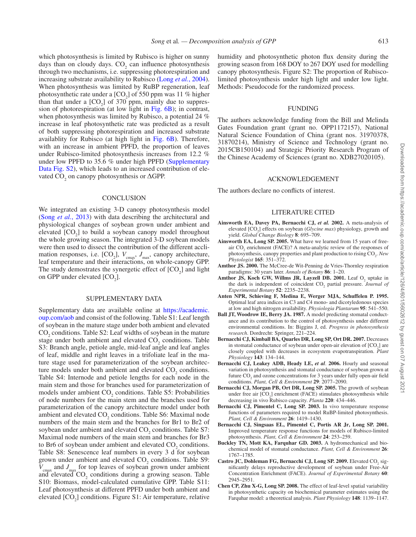which photosynthesis is limited by Rubisco is higher on sunny days than on cloudy days.  $CO<sub>2</sub>$  can influence photosynthesis through two mechanisms, i.e. suppressing photorespiration and increasing substrate availability to Rubisco (Long *et al.*, 2004). When photosynthesis was limited by RuBP regeneration, leaf photosynthetic rate under a  $[CO<sub>2</sub>]$  of 550 ppm was 11 % higher than that under a  $[CO_2]$  of 370 ppm, mainly due to suppression of photorespiration (at low light in Fig.  $6B$ ); in contrast, when photosynthesis was limited by Rubisco, a potential 24 % increase in leaf photosynthetic rate was predicted as a result of both suppressing photorespiration and increased substrate availablity for Rubisco (at high light in Fig. 6B). Therefore, with an increase in ambient PPFD, the proportion of leaves under Rubisco-limited photosynthesis increases from 12.2 % under low PPFD to 35.6 % under high PPFD (Supplementary Data Fig. S2), which leads to an increased contribution of elevated  $CO_2$  on canopy photosynthesis or  $\Delta$ GPP.

#### **CONCLUSION**

We integrated an existing 3-D canopy photosynthesis model (Song *et al.*, 2013) with data describing the architectural and physiological changes of soybean grown under ambient and elevated  $[CO_2]$  to build a soybean canopy model throughout the whole growing season. The integrated 3-D soybean models were then used to dissect the contribution of the different acclimation responses, i.e.  $[CO_2]$ ,  $V_{\text{cmax}}$ ,  $J_{\text{max}}$ , canopy architecture, leaf temperature and their interactions, on whole-canopy GPP. The study demostrates the synergetic effect of  $[CO_2]$  and light on GPP under elevated  $[CO<sub>2</sub>]$ .

#### SUPPLEMENTARY DATA

Supplementary data are available online at https://academic. oup.com/aob and consist of the following. Table S1: Leaf length of soybean in the mature stage under both ambient and elevated  $CO<sub>2</sub>$  conditions. Table S2: Leaf widths of soybean in the mature stage under both ambient and elevated  $CO<sub>2</sub>$  conditions. Table S3: Branch angle, petiole angle, mid-leaf angle and leaf angles of leaf, middle and right leaves in a trifoliate leaf in the mature stage used for parameterization of the soybean architecture models under both ambient and elevated  $CO_2$  conditions. Table S4: Internode and petiole lengths for each node in the main stem and those for branches used for parameterization of models under ambient  $CO_2$  conditions. Table S5: Probabilities of node numbers for the main stem and the branches used for parameterization of the canopy architecture model under both ambient and elevated  $CO_2$  conditions. Table S6: Maximal node numbers of the main stem and the branches for Br1 to Br2 of soybean under ambient and elevated  $CO_2$  conditions. Table S7: Maximal node numbers of the main stem and branches for Br3 to Br6 of soybean under ambient and elevated  $CO_2$  conditions. Table S8: Senescence leaf numbers in every 3 d for soybean grown under ambient and elevated  $CO<sub>2</sub>$  conditions. Table S9:  $V_{\text{cmax}}$  and  $J_{\text{max}}$  for top leaves of soybean grown under ambient and elevated  $CO_2$  conditions during a growing season. Table S10: Biomass, model-calculated cumulative GPP. Table S11: Leaf photosynthesis at different PPFD under both ambient and elevated  $[CO_2]$  conditions. Figure S1: Air temperature, relative

humidity and photosynthetic photon flux density during the growing season from 168 DOY to 267 DOY used for modelling canopy photosynthesis. Figure S2: The proportion of Rubiscolimited photosynthesis under high light and under low light. Methods: Pseudocode for the randomized process.

#### FUNDING

The authors acknowledge funding from the Bill and Melinda Gates Foundation grant (grant no. OPP1172157), National Natural Science Foundation of China (grant nos. 31970378, 31870214), Ministry of Science and Technology (grant no. 2015CB150104) and Strategic Priority Research Program of the Chinese Academy of Sciences (grant no. XDB27020105).

#### ACKNOWLEDGEMENT

The authors declare no conflicts of interest.

#### LITERATURE CITED

- **Ainsworth EA, Davey PA, Bernacchi CJ,** *et al.* **2002.** A meta-analysis of elevated [CO<sub>2</sub>] effects on soybean (*Glycine max*) physiology, growth and yield. *Global Change Biology* **8**: 695–709.
- **Ainsworth EA, Long SP. 2005.** What have we learned from 15 years of freeair  $CO_2$  enrichment (FACE)? A meta-analytic review of the responses of photosynthesis, canopy properties and plant production to rising CO<sub>2</sub>. New *Phytologist* **165**: 351–372.
- **Amthor JS. 2000.** The McCree-de Wit-Penning de Vries-Thornley respiration paradigms: 30 years later. *Annals of Botany* **86**: 1–20.
- **Amthor JS, Koch GW, Willms JR, Layzell DB. 2001.** Leaf  $O_2$  uptake in the dark is independent of coincident CO<sub>2</sub> partial pressure. *Journal of Experimental Botany* **52**: 2235–2238.
- **Anten NPR, Schieving F, Medina E, Werger MJA, Schuffelen P. 1995.**  Optimal leaf area indices in C3 and C4 mono- and dicotyledonous species at low and high nitrogen availability. *Physiologia Plantarum* **95**: 541–550.
- **Ball JT, Woodrow IE, Berry JA. 1987.** A model predicting stomatal conductance and its contribution to the control of photosynthesis under different environmental conditions. In: Biggins J, ed. *Progress in photosynthesis research*. Dordrecht: Springer, 221–224.
- **Bernacchi CJ, Kimball BA, Quarles DR, Long SP, Ort DR. 2007.** Decreases in stomatal conductance of soybean under open-air elevation of  $[CO<sub>2</sub>]$  are closely coupled with decreases in ecosystem evapotranspiration. *Plant Physiology* **143**: 134–144.
- **Bernacchi CJ, Leakey ADB, Heady LE,** *et al*. **2006.** Hourly and seasonal variation in photosynthesis and stomatal conductance of soybean grown at future  $CO<sub>2</sub>$  and ozone concentrations for 3 years under fully open-air field conditions. *Plant, Cell & Environment* **29**: 2077–2090.
- **Bernacchi CJ, Morgan PB, Ort DR, Long SP. 2005.** The growth of soybean under free air  $[CO<sub>2</sub>]$  enrichment (FACE) stimulates photosynthesis while decreasing in vivo Rubisco capacity. *Planta* **220**: 434–446.
- **Bernacchi CJ, Pimentel C, Long SP. 2003.** In vivo temperature response functions of parameters required to model RuBP-limited photosynthesis. *Plant, Cell & Environment* **26**: 1419–1430.
- **Bernacchi CJ, Singsaas EL, Pimentel C, Portis AR Jr, Long SP. 2001.**  Improved temperature response functions for models of Rubisco-limited photosynthesis. *Plant, Cell & Environment* **24**: 253–259.
- **Buckley TN, Mott KA, Farquhar GD. 2003.** A hydromechanical and biochemical model of stomatal conductance. *Plant, Cell & Environment* **26**: 1767–1785.
- **Castro JC, Dohleman FG, Bernacchi CJ, Long SP. 2009. Elevated CO<sub>2</sub> sig**nificantly delays reproductive development of soybean under Free-Air Concentration Enrichment (FACE). *Journal of Experimental Botany* **60**: 2945–2951.
- **Chen CP, Zhu X-G, Long SP. 2008.** The effect of leaf-level spatial variability in photosynthetic capacity on biochemical parameter estimates using the Farquhar model: a theoretical analysis. *Plant Physiology* **148**: 1139–1147.